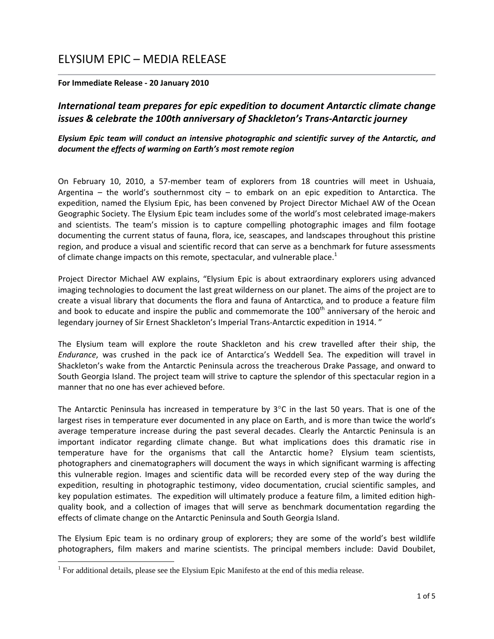# ELYSIUM EPIC – MEDIA RELEASE

## **For Immediate Release ‐ 20 January 2010**

# *International team prepares for epic expedition to document Antarctic climate change issues & celebrate the 100th anniversary of Shackleton's Trans‐Antarctic journey*

# *Elysium Epic team will conduct an intensive photographic and scientific survey of the Antarctic, and document the effects of warming on Earth's most remote region*

On February 10, 2010, a 57-member team of explorers from 18 countries will meet in Ushuaia, Argentina – the world's southernmost city – to embark on an epic expedition to Antarctica. The expedition, named the Elysium Epic, has been convened by Project Director Michael AW of the Ocean Geographic Society. The Elysium Epic team includes some of the world's most celebrated image‐makers and scientists. The team's mission is to capture compelling photographic images and film footage documenting the current status of fauna, flora, ice, seascapes, and landscapes throughout this pristine region, and produce a visual and scientific record that can serve as a benchmark for future assessments of climate change impacts on this remote, spectacular, and vulnerable place.<sup>1</sup>

Project Director Michael AW explains, "Elysium Epic is about extraordinary explorers using advanced imaging technologies to document the last great wilderness on our planet. The aims of the project are to create a visual library that documents the flora and fauna of Antarctica, and to produce a feature film and book to educate and inspire the public and commemorate the 100<sup>th</sup> anniversary of the heroic and legendary journey of Sir Ernest Shackleton's Imperial Trans-Antarctic expedition in 1914."

The Elysium team will explore the route Shackleton and his crew travelled after their ship, the *Endurance*, was crushed in the pack ice of Antarctica's Weddell Sea. The expedition will travel in Shackleton's wake from the Antarctic Peninsula across the treacherous Drake Passage, and onward to South Georgia Island. The project team will strive to capture the splendor of this spectacular region in a manner that no one has ever achieved before.

The Antarctic Peninsula has increased in temperature by  $3^{\circ}$ C in the last 50 years. That is one of the largest rises in temperature ever documented in any place on Earth, and is more than twice the world's average temperature increase during the past several decades. Clearly the Antarctic Peninsula is an important indicator regarding climate change. But what implications does this dramatic rise in temperature have for the organisms that call the Antarctic home? Elysium team scientists, photographers and cinematographers will document the ways in which significant warming is affecting this vulnerable region. Images and scientific data will be recorded every step of the way during the expedition, resulting in photographic testimony, video documentation, crucial scientific samples, and key population estimates. The expedition will ultimately produce a feature film, a limited edition highquality book, and a collection of images that will serve as benchmark documentation regarding the effects of climate change on the Antarctic Peninsula and South Georgia Island.

The Elysium Epic team is no ordinary group of explorers; they are some of the world's best wildlife photographers, film makers and marine scientists. The principal members include: David Doubilet,

-

<sup>&</sup>lt;sup>1</sup> For additional details, please see the Elysium Epic Manifesto at the end of this media release.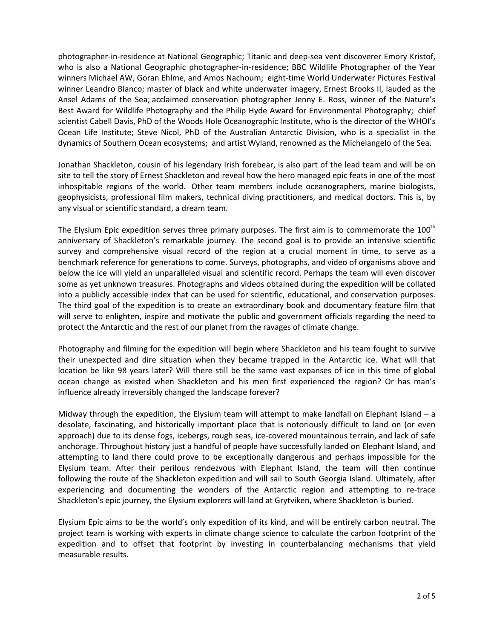photographer‐in‐residence at National Geographic; Titanic and deep‐sea vent discoverer Emory Kristof, who is also a National Geographic photographer‐in‐residence; BBC Wildlife Photographer of the Year winners Michael AW, Goran Ehlme, and Amos Nachoum; eight‐time World Underwater Pictures Festival winner Leandro Blanco; master of black and white underwater imagery, Ernest Brooks II, lauded as the Ansel Adams of the Sea; acclaimed conservation photographer Jenny E. Ross, winner of the Nature's Best Award for Wildlife Photography and the Philip Hyde Award for Environmental Photography; chief scientist Cabell Davis, PhD of the Woods Hole Oceanographic Institute, who is the director of the WHOI's Ocean Life Institute; Steve Nicol, PhD of the Australian Antarctic Division, who is a specialist in the dynamics of Southern Ocean ecosystems; and artist Wyland, renowned as the Michelangelo of the Sea.

Jonathan Shackleton, cousin of his legendary Irish forebear, is also part of the lead team and will be on site to tell the story of Ernest Shackleton and reveal how the hero managed epic feats in one of the most inhospitable regions of the world. Other team members include oceanographers, marine biologists, geophysicists, professional film makers, technical diving practitioners, and medical doctors. This is, by any visual or scientific standard, a dream team.

The Elysium Epic expedition serves three primary purposes. The first aim is to commemorate the  $100<sup>th</sup>$ anniversary of Shackleton's remarkable journey. The second goal is to provide an intensive scientific survey and comprehensive visual record of the region at a crucial moment in time, to serve as a benchmark reference for generations to come. Surveys, photographs, and video of organisms above and below the ice will yield an unparalleled visual and scientific record. Perhaps the team will even discover some as yet unknown treasures. Photographs and videos obtained during the expedition will be collated into a publicly accessible index that can be used for scientific, educational, and conservation purposes. The third goal of the expedition is to create an extraordinary book and documentary feature film that will serve to enlighten, inspire and motivate the public and government officials regarding the need to protect the Antarctic and the rest of our planet from the ravages of climate change.

Photography and filming for the expedition will begin where Shackleton and his team fought to survive their unexpected and dire situation when they became trapped in the Antarctic ice. What will that location be like 98 years later? Will there still be the same vast expanses of ice in this time of global ocean change as existed when Shackleton and his men first experienced the region? Or has man's influence already irreversibly changed the landscape forever?

Midway through the expedition, the Elysium team will attempt to make landfall on Elephant Island  $-$  a desolate, fascinating, and historically important place that is notoriously difficult to land on (or even approach) due to its dense fogs, icebergs, rough seas, ice‐covered mountainous terrain, and lack of safe anchorage. Throughout history just a handful of people have successfully landed on Elephant Island, and attempting to land there could prove to be exceptionally dangerous and perhaps impossible for the Elysium team. After their perilous rendezvous with Elephant Island, the team will then continue following the route of the Shackleton expedition and will sail to South Georgia Island. Ultimately, after experiencing and documenting the wonders of the Antarctic region and attempting to re-trace Shackleton's epic journey, the Elysium explorers will land at Grytviken, where Shackleton is buried.

Elysium Epic aims to be the world's only expedition of its kind, and will be entirely carbon neutral. The project team is working with experts in climate change science to calculate the carbon footprint of the expedition and to offset that footprint by investing in counterbalancing mechanisms that yield measurable results.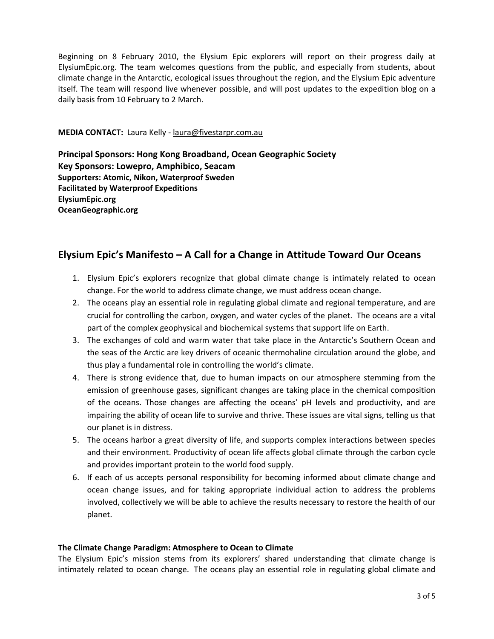Beginning on 8 February 2010, the Elysium Epic explorers will report on their progress daily at ElysiumEpic.org. The team welcomes questions from the public, and especially from students, about climate change in the Antarctic, ecological issues throughout the region, and the Elysium Epic adventure itself. The team will respond live whenever possible, and will post updates to the expedition blog on a daily basis from 10 February to 2 March.

**MEDIA CONTACT:** Laura Kelly ‐ laura@fivestarpr.com.au

**Principal Sponsors: Hong Kong Broadband, Ocean Geographic Society Key Sponsors: Lowepro, Amphibico, Seacam Supporters: Atomic, Nikon, Waterproof Sweden Facilitated by Waterproof Expeditions ElysiumEpic.org OceanGeographic.org**

# **Elysium Epic's Manifesto – A Call for a Change in Attitude Toward Our Oceans**

- 1. Elysium Epic's explorers recognize that global climate change is intimately related to ocean change. For the world to address climate change, we must address ocean change.
- 2. The oceans play an essential role in regulating global climate and regional temperature, and are crucial for controlling the carbon, oxygen, and water cycles of the planet. The oceans are a vital part of the complex geophysical and biochemical systems that support life on Earth.
- 3. The exchanges of cold and warm water that take place in the Antarctic's Southern Ocean and the seas of the Arctic are key drivers of oceanic thermohaline circulation around the globe, and thus play a fundamental role in controlling the world's climate.
- 4. There is strong evidence that, due to human impacts on our atmosphere stemming from the emission of greenhouse gases, significant changes are taking place in the chemical composition of the oceans. Those changes are affecting the oceans' pH levels and productivity, and are impairing the ability of ocean life to survive and thrive. These issues are vital signs, telling us that our planet is in distress.
- 5. The oceans harbor a great diversity of life, and supports complex interactions between species and their environment. Productivity of ocean life affects global climate through the carbon cycle and provides important protein to the world food supply.
- 6. If each of us accepts personal responsibility for becoming informed about climate change and ocean change issues, and for taking appropriate individual action to address the problems involved, collectively we will be able to achieve the results necessary to restore the health of our planet.

## **The Climate Change Paradigm: Atmosphere to Ocean to Climate**

The Elysium Epic's mission stems from its explorers' shared understanding that climate change is intimately related to ocean change. The oceans play an essential role in regulating global climate and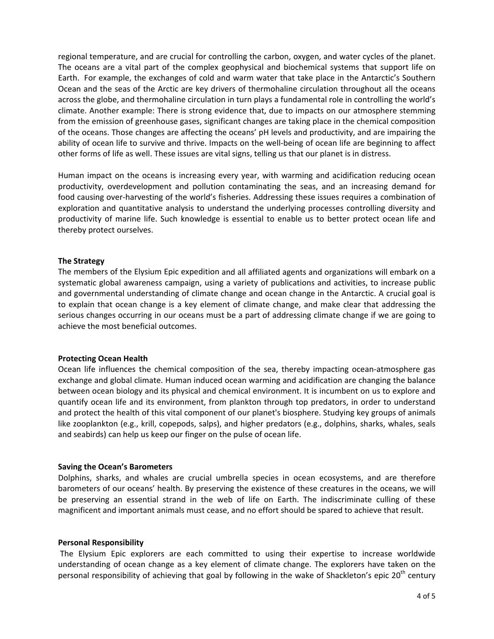regional temperature, and are crucial for controlling the carbon, oxygen, and water cycles of the planet. The oceans are a vital part of the complex geophysical and biochemical systems that support life on Earth. For example, the exchanges of cold and warm water that take place in the Antarctic's Southern Ocean and the seas of the Arctic are key drivers of thermohaline circulation throughout all the oceans across the globe, and thermohaline circulation in turn plays a fundamental role in controlling the world's climate. Another example: There is strong evidence that, due to impacts on our atmosphere stemming from the emission of greenhouse gases, significant changes are taking place in the chemical composition of the oceans. Those changes are affecting the oceans' pH levels and productivity, and are impairing the ability of ocean life to survive and thrive. Impacts on the well‐being of ocean life are beginning to affect other forms of life as well. These issues are vital signs, telling us that our planet is in distress.

Human impact on the oceans is increasing every year, with warming and acidification reducing ocean productivity, overdevelopment and pollution contaminating the seas, and an increasing demand for food causing over-harvesting of the world's fisheries. Addressing these issues requires a combination of exploration and quantitative analysis to understand the underlying processes controlling diversity and productivity of marine life. Such knowledge is essential to enable us to better protect ocean life and thereby protect ourselves.

#### **The Strategy**

The members of the Elysium Epic expedition and all affiliated agents and organizations will embark on a systematic global awareness campaign, using a variety of publications and activities, to increase public and governmental understanding of climate change and ocean change in the Antarctic. A crucial goal is to explain that ocean change is a key element of climate change, and make clear that addressing the serious changes occurring in our oceans must be a part of addressing climate change if we are going to achieve the most beneficial outcomes.

#### **Protecting Ocean Health**

Ocean life influences the chemical composition of the sea, thereby impacting ocean‐atmosphere gas exchange and global climate. Human induced ocean warming and acidification are changing the balance between ocean biology and its physical and chemical environment. It is incumbent on us to explore and quantify ocean life and its environment, from plankton through top predators, in order to understand and protect the health of this vital component of our planet's biosphere. Studying key groups of animals like zooplankton (e.g., krill, copepods, salps), and higher predators (e.g., dolphins, sharks, whales, seals and seabirds) can help us keep our finger on the pulse of ocean life.

#### **Saving the Ocean's Barometers**

Dolphins, sharks, and whales are crucial umbrella species in ocean ecosystems, and are therefore barometers of our oceans' health. By preserving the existence of these creatures in the oceans, we will be preserving an essential strand in the web of life on Earth. The indiscriminate culling of these magnificent and important animals must cease, and no effort should be spared to achieve that result.

#### **Personal Responsibility**

The Elysium Epic explorers are each committed to using their expertise to increase worldwide understanding of ocean change as a key element of climate change. The explorers have taken on the personal responsibility of achieving that goal by following in the wake of Shackleton's epic  $20^{th}$  century